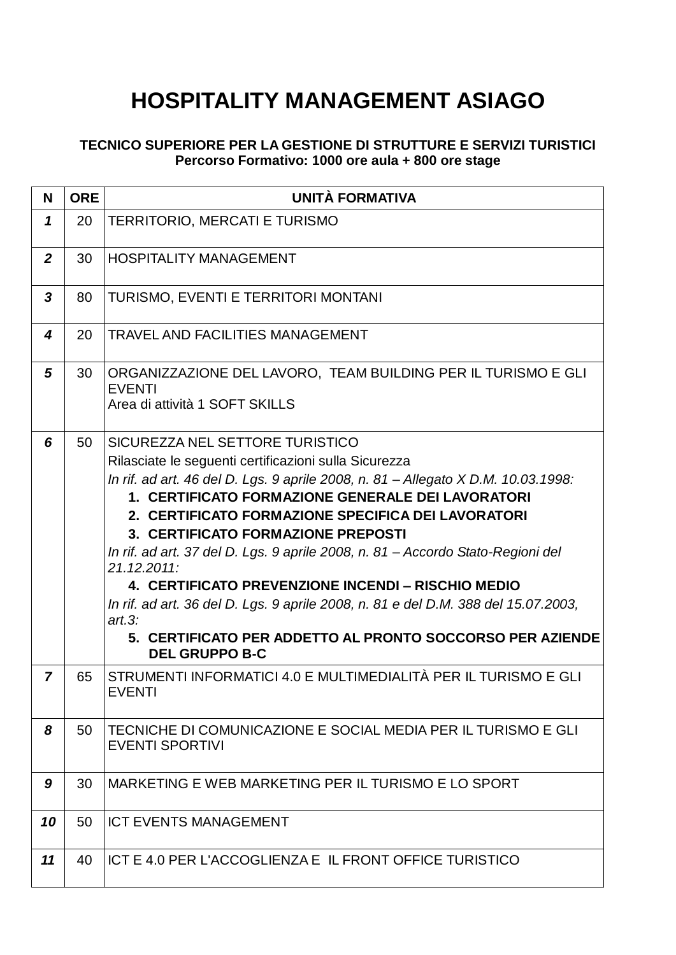## **HOSPITALITY MANAGEMENT ASIAGO**

## **TECNICO SUPERIORE PER LA GESTIONE DI STRUTTURE E SERVIZI TURISTICI Percorso Formativo: 1000 ore aula + 800 ore stage**

| N              | <b>ORE</b> | <b>UNITÀ FORMATIVA</b>                                                                                                                                                                                                                                                                                                                                                                                                                                                                                                                                                                                                                                                       |
|----------------|------------|------------------------------------------------------------------------------------------------------------------------------------------------------------------------------------------------------------------------------------------------------------------------------------------------------------------------------------------------------------------------------------------------------------------------------------------------------------------------------------------------------------------------------------------------------------------------------------------------------------------------------------------------------------------------------|
| $\mathbf{1}$   | 20         | <b>TERRITORIO, MERCATI E TURISMO</b>                                                                                                                                                                                                                                                                                                                                                                                                                                                                                                                                                                                                                                         |
| $\overline{2}$ | 30         | <b>HOSPITALITY MANAGEMENT</b>                                                                                                                                                                                                                                                                                                                                                                                                                                                                                                                                                                                                                                                |
| 3              | 80         | <b>TURISMO, EVENTI E TERRITORI MONTANI</b>                                                                                                                                                                                                                                                                                                                                                                                                                                                                                                                                                                                                                                   |
| 4              | 20         | <b>TRAVEL AND FACILITIES MANAGEMENT</b>                                                                                                                                                                                                                                                                                                                                                                                                                                                                                                                                                                                                                                      |
| 5              | 30         | ORGANIZZAZIONE DEL LAVORO, TEAM BUILDING PER IL TURISMO E GLI<br><b>EVENTI</b><br>Area di attività 1 SOFT SKILLS                                                                                                                                                                                                                                                                                                                                                                                                                                                                                                                                                             |
| 6              | 50         | SICUREZZA NEL SETTORE TURISTICO<br>Rilasciate le seguenti certificazioni sulla Sicurezza<br>In rif. ad art. 46 del D. Lgs. 9 aprile 2008, n. 81 - Allegato X D.M. 10.03.1998:<br>1. CERTIFICATO FORMAZIONE GENERALE DEI LAVORATORI<br>2. CERTIFICATO FORMAZIONE SPECIFICA DEI LAVORATORI<br>3. CERTIFICATO FORMAZIONE PREPOSTI<br>In rif. ad art. 37 del D. Lgs. 9 aprile 2008, n. 81 – Accordo Stato-Regioni del<br>21.12.2011:<br>4. CERTIFICATO PREVENZIONE INCENDI – RISCHIO MEDIO<br>In rif. ad art. 36 del D. Lgs. 9 aprile 2008, n. 81 e del D.M. 388 del 15.07.2003,<br>art.3:<br>5. CERTIFICATO PER ADDETTO AL PRONTO SOCCORSO PER AZIENDE<br><b>DEL GRUPPO B-C</b> |
| $\overline{7}$ | 65         | STRUMENTI INFORMATICI 4.0 E MULTIMEDIALITÀ PER IL TURISMO E GLI<br><b>EVENTI</b>                                                                                                                                                                                                                                                                                                                                                                                                                                                                                                                                                                                             |
| 8              | 50         | TECNICHE DI COMUNICAZIONE E SOCIAL MEDIA PER IL TURISMO E GLI<br><b>EVENTI SPORTIVI</b>                                                                                                                                                                                                                                                                                                                                                                                                                                                                                                                                                                                      |
| 9              | 30         | MARKETING E WEB MARKETING PER IL TURISMO E LO SPORT                                                                                                                                                                                                                                                                                                                                                                                                                                                                                                                                                                                                                          |
| 10             | 50         | <b>ICT EVENTS MANAGEMENT</b>                                                                                                                                                                                                                                                                                                                                                                                                                                                                                                                                                                                                                                                 |
| 11             | 40         | ICT E 4.0 PER L'ACCOGLIENZA E IL FRONT OFFICE TURISTICO                                                                                                                                                                                                                                                                                                                                                                                                                                                                                                                                                                                                                      |